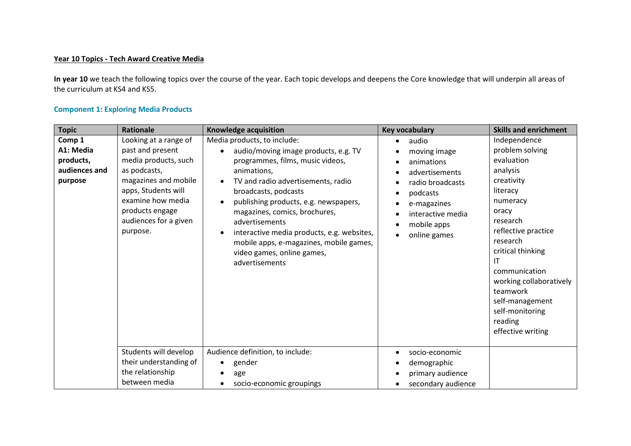## **Year 10 Topics - Tech Award Creative Media**

**In year 10** we teach the following topics over the course of the year. Each topic develops and deepens the Core knowledge that will underpin all areas of the curriculum at KS4 and KS5.

## **Component 1: Exploring Media Products**

| <b>Topic</b>                                                 | <b>Rationale</b>                                                                                                                                                                                              | Knowledge acquisition                                                                                                                                                                                                                                                                                                                                                                                                     | <b>Key vocabulary</b>                                                                                                                                    | <b>Skills and enrichment</b>                                                                                                                                                                                                                                                                                     |
|--------------------------------------------------------------|---------------------------------------------------------------------------------------------------------------------------------------------------------------------------------------------------------------|---------------------------------------------------------------------------------------------------------------------------------------------------------------------------------------------------------------------------------------------------------------------------------------------------------------------------------------------------------------------------------------------------------------------------|----------------------------------------------------------------------------------------------------------------------------------------------------------|------------------------------------------------------------------------------------------------------------------------------------------------------------------------------------------------------------------------------------------------------------------------------------------------------------------|
| Comp 1<br>A1: Media<br>products,<br>audiences and<br>purpose | Looking at a range of<br>past and present<br>media products, such<br>as podcasts,<br>magazines and mobile<br>apps, Students will<br>examine how media<br>products engage<br>audiences for a given<br>purpose. | Media products, to include:<br>audio/moving image products, e.g. TV<br>programmes, films, music videos,<br>animations,<br>TV and radio advertisements, radio<br>broadcasts, podcasts<br>publishing products, e.g. newspapers,<br>magazines, comics, brochures,<br>advertisements<br>interactive media products, e.g. websites,<br>mobile apps, e-magazines, mobile games,<br>video games, online games,<br>advertisements | audio<br>moving image<br>animations<br>advertisements<br>radio broadcasts<br>podcasts<br>e-magazines<br>interactive media<br>mobile apps<br>online games | Independence<br>problem solving<br>evaluation<br>analysis<br>creativity<br>literacy<br>numeracy<br>oracy<br>research<br>reflective practice<br>research<br>critical thinking<br>ΙT<br>communication<br>working collaboratively<br>teamwork<br>self-management<br>self-monitoring<br>reading<br>effective writing |
|                                                              | Students will develop<br>their understanding of<br>the relationship<br>between media                                                                                                                          | Audience definition, to include:<br>gender<br>$\bullet$<br>age<br>socio-economic groupings                                                                                                                                                                                                                                                                                                                                | socio-economic<br>$\bullet$<br>demographic<br>primary audience<br>secondary audience                                                                     |                                                                                                                                                                                                                                                                                                                  |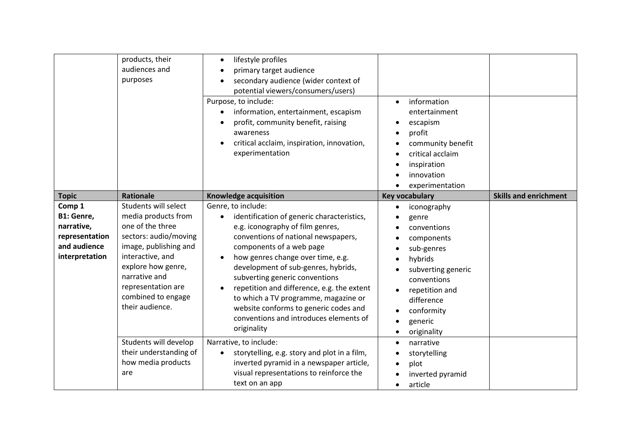|                                                                                        | products, their<br>audiences and<br>purposes                                                                                                                                                                                                | lifestyle profiles<br>٠<br>primary target audience<br>secondary audience (wider context of<br>potential viewers/consumers/users)<br>Purpose, to include:<br>information, entertainment, escapism<br>profit, community benefit, raising<br>awareness<br>critical acclaim, inspiration, innovation,<br>experimentation                                                                                                                                                                       | information<br>$\bullet$<br>entertainment<br>escapism<br>profit<br>community benefit<br>critical acclaim<br>inspiration<br>innovation<br>experimentation                                |                              |
|----------------------------------------------------------------------------------------|---------------------------------------------------------------------------------------------------------------------------------------------------------------------------------------------------------------------------------------------|--------------------------------------------------------------------------------------------------------------------------------------------------------------------------------------------------------------------------------------------------------------------------------------------------------------------------------------------------------------------------------------------------------------------------------------------------------------------------------------------|-----------------------------------------------------------------------------------------------------------------------------------------------------------------------------------------|------------------------------|
| <b>Topic</b>                                                                           | <b>Rationale</b>                                                                                                                                                                                                                            | Knowledge acquisition                                                                                                                                                                                                                                                                                                                                                                                                                                                                      | <b>Key vocabulary</b>                                                                                                                                                                   | <b>Skills and enrichment</b> |
| Comp 1<br>B1: Genre,<br>narrative,<br>representation<br>and audience<br>interpretation | Students will select<br>media products from<br>one of the three<br>sectors: audio/moving<br>image, publishing and<br>interactive, and<br>explore how genre,<br>narrative and<br>representation are<br>combined to engage<br>their audience. | Genre, to include:<br>identification of generic characteristics,<br>$\bullet$<br>e.g. iconography of film genres,<br>conventions of national newspapers,<br>components of a web page<br>how genres change over time, e.g.<br>development of sub-genres, hybrids,<br>subverting generic conventions<br>repetition and difference, e.g. the extent<br>to which a TV programme, magazine or<br>website conforms to generic codes and<br>conventions and introduces elements of<br>originality | iconography<br>genre<br>conventions<br>components<br>sub-genres<br>hybrids<br>subverting generic<br>conventions<br>repetition and<br>difference<br>conformity<br>generic<br>originality |                              |
|                                                                                        | Students will develop<br>their understanding of<br>how media products<br>are                                                                                                                                                                | Narrative, to include:<br>storytelling, e.g. story and plot in a film,<br>$\bullet$<br>inverted pyramid in a newspaper article,<br>visual representations to reinforce the<br>text on an app                                                                                                                                                                                                                                                                                               | narrative<br>$\bullet$<br>storytelling<br>plot<br>inverted pyramid<br>article<br>$\bullet$                                                                                              |                              |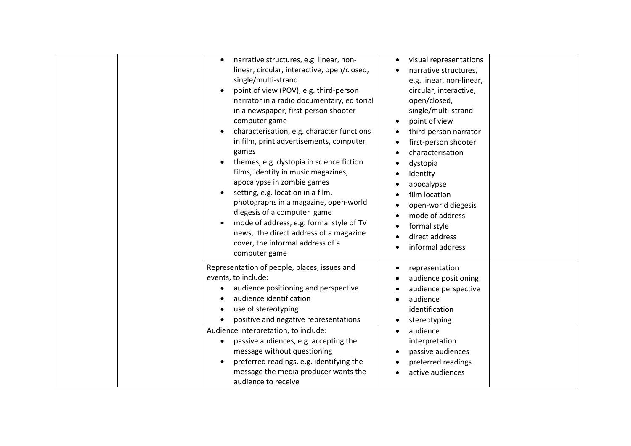|                                  | narrative structures, e.g. linear, non-<br>linear, circular, interactive, open/closed,<br>single/multi-strand<br>point of view (POV), e.g. third-person<br>narrator in a radio documentary, editorial<br>in a newspaper, first-person shooter                | visual representations<br>narrative structures,<br>e.g. linear, non-linear,<br>circular, interactive,<br>open/closed,<br>single/multi-strand |  |
|----------------------------------|--------------------------------------------------------------------------------------------------------------------------------------------------------------------------------------------------------------------------------------------------------------|----------------------------------------------------------------------------------------------------------------------------------------------|--|
| games                            | computer game<br>characterisation, e.g. character functions<br>in film, print advertisements, computer<br>themes, e.g. dystopia in science fiction<br>films, identity in music magazines,<br>apocalypse in zombie games<br>setting, e.g. location in a film, | point of view<br>third-person narrator<br>first-person shooter<br>characterisation<br>dystopia<br>identity<br>apocalypse<br>film location    |  |
|                                  | photographs in a magazine, open-world<br>diegesis of a computer game<br>mode of address, e.g. formal style of TV<br>news, the direct address of a magazine<br>cover, the informal address of a<br>computer game                                              | open-world diegesis<br>mode of address<br>formal style<br>direct address<br>informal address                                                 |  |
| events, to include:<br>$\bullet$ | Representation of people, places, issues and<br>audience positioning and perspective<br>audience identification<br>use of stereotyping<br>positive and negative representations<br>Audience interpretation, to include:                                      | representation<br>audience positioning<br>audience perspective<br>audience<br>identification<br>stereotyping<br>audience<br>$\bullet$        |  |
|                                  | passive audiences, e.g. accepting the<br>message without questioning<br>preferred readings, e.g. identifying the<br>message the media producer wants the<br>audience to receive                                                                              | interpretation<br>passive audiences<br>preferred readings<br>active audiences                                                                |  |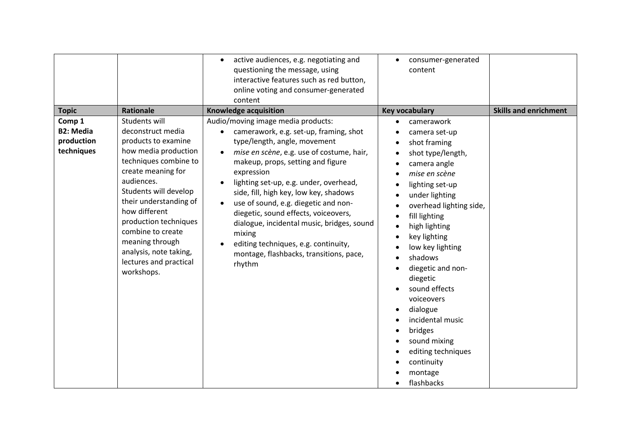|                                                                                                                                                                                                                                                                                                                                                                                                                                              | active audiences, e.g. negotiating and<br>$\bullet$<br>questioning the message, using<br>interactive features such as red button,<br>online voting and consumer-generated<br>content                                                                                                                                                                                                                                                                                                                                                                                                            | consumer-generated<br>$\bullet$<br>content                                                                                                                                                                                                                                                                                                                                                                                                                          |                              |
|----------------------------------------------------------------------------------------------------------------------------------------------------------------------------------------------------------------------------------------------------------------------------------------------------------------------------------------------------------------------------------------------------------------------------------------------|-------------------------------------------------------------------------------------------------------------------------------------------------------------------------------------------------------------------------------------------------------------------------------------------------------------------------------------------------------------------------------------------------------------------------------------------------------------------------------------------------------------------------------------------------------------------------------------------------|---------------------------------------------------------------------------------------------------------------------------------------------------------------------------------------------------------------------------------------------------------------------------------------------------------------------------------------------------------------------------------------------------------------------------------------------------------------------|------------------------------|
| <b>Topic</b><br>Rationale<br>Students will<br>Comp 1<br><b>B2: Media</b><br>deconstruct media<br>production<br>products to examine<br>techniques<br>how media production<br>techniques combine to<br>create meaning for<br>audiences.<br>Students will develop<br>their understanding of<br>how different<br>production techniques<br>combine to create<br>meaning through<br>analysis, note taking,<br>lectures and practical<br>workshops. | <b>Knowledge acquisition</b><br>Audio/moving image media products:<br>camerawork, e.g. set-up, framing, shot<br>$\bullet$<br>type/length, angle, movement<br>mise en scène, e.g. use of costume, hair,<br>makeup, props, setting and figure<br>expression<br>lighting set-up, e.g. under, overhead,<br>side, fill, high key, low key, shadows<br>use of sound, e.g. diegetic and non-<br>$\bullet$<br>diegetic, sound effects, voiceovers,<br>dialogue, incidental music, bridges, sound<br>mixing<br>editing techniques, e.g. continuity,<br>montage, flashbacks, transitions, pace,<br>rhythm | <b>Key vocabulary</b><br>camerawork<br>camera set-up<br>shot framing<br>shot type/length,<br>camera angle<br>mise en scène<br>lighting set-up<br>under lighting<br>overhead lighting side,<br>fill lighting<br>high lighting<br>key lighting<br>low key lighting<br>shadows<br>diegetic and non-<br>diegetic<br>sound effects<br>voiceovers<br>dialogue<br>incidental music<br>bridges<br>sound mixing<br>editing techniques<br>continuity<br>montage<br>flashbacks | <b>Skills and enrichment</b> |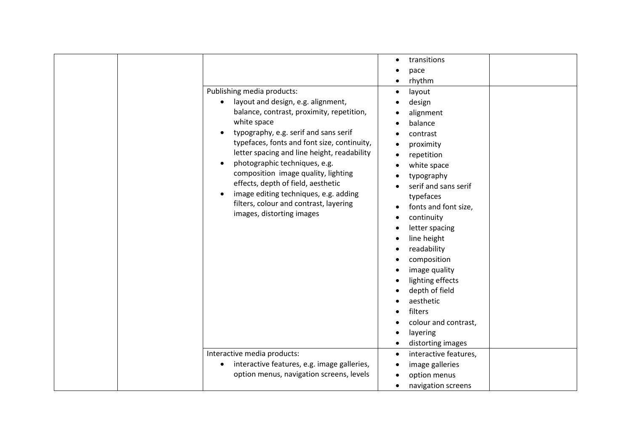| Publishing media products:<br>layout and design, e.g. alignment,<br>balance, contrast, proximity, repetition,<br>white space<br>typography, e.g. serif and sans serif<br>typefaces, fonts and font size, continuity,<br>letter spacing and line height, readability<br>photographic techniques, e.g.<br>composition image quality, lighting<br>effects, depth of field, aesthetic<br>image editing techniques, e.g. adding<br>filters, colour and contrast, layering<br>images, distorting images | transitions<br>$\bullet$<br>pace<br>rhythm<br>layout<br>$\bullet$<br>design<br>alignment<br>balance<br>contrast<br>proximity<br>repetition<br>$\bullet$<br>white space<br>typography<br>serif and sans serif<br>typefaces<br>fonts and font size,<br>continuity<br>letter spacing<br>line height<br>readability<br>composition<br>image quality<br>lighting effects<br>depth of field<br>aesthetic<br>filters<br>colour and contrast, |
|---------------------------------------------------------------------------------------------------------------------------------------------------------------------------------------------------------------------------------------------------------------------------------------------------------------------------------------------------------------------------------------------------------------------------------------------------------------------------------------------------|---------------------------------------------------------------------------------------------------------------------------------------------------------------------------------------------------------------------------------------------------------------------------------------------------------------------------------------------------------------------------------------------------------------------------------------|
| Interactive media products:                                                                                                                                                                                                                                                                                                                                                                                                                                                                       | layering<br>distorting images<br>interactive features,<br>$\bullet$                                                                                                                                                                                                                                                                                                                                                                   |
| interactive features, e.g. image galleries,<br>option menus, navigation screens, levels                                                                                                                                                                                                                                                                                                                                                                                                           | image galleries<br>option menus<br>navigation screens<br>$\bullet$                                                                                                                                                                                                                                                                                                                                                                    |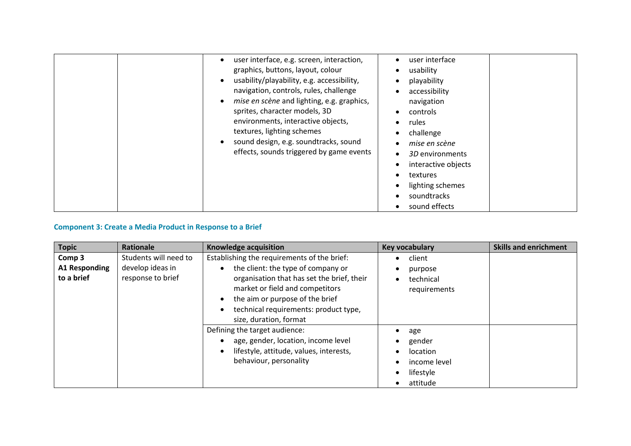|  | user interface, e.g. screen, interaction,<br>graphics, buttons, layout, colour<br>usability/playability, e.g. accessibility,<br>navigation, controls, rules, challenge<br>mise en scène and lighting, e.g. graphics,<br>sprites, character models, 3D<br>environments, interactive objects,<br>textures, lighting schemes<br>sound design, e.g. soundtracks, sound<br>effects, sounds triggered by game events | user interface<br>usability<br>playability<br>accessibility<br>navigation<br>controls<br>rules<br>challenge<br>mise en scène<br>3D environments<br>interactive objects<br>textures<br>lighting schemes<br>soundtracks<br>sound effects |
|--|----------------------------------------------------------------------------------------------------------------------------------------------------------------------------------------------------------------------------------------------------------------------------------------------------------------------------------------------------------------------------------------------------------------|----------------------------------------------------------------------------------------------------------------------------------------------------------------------------------------------------------------------------------------|
|--|----------------------------------------------------------------------------------------------------------------------------------------------------------------------------------------------------------------------------------------------------------------------------------------------------------------------------------------------------------------------------------------------------------------|----------------------------------------------------------------------------------------------------------------------------------------------------------------------------------------------------------------------------------------|

## **Component 3: Create a Media Product in Response to a Brief**

| <b>Topic</b>                       | Rationale                             | <b>Knowledge acquisition</b>                                                                                                                                                                                              | <b>Key vocabulary</b>                                              | <b>Skills and enrichment</b> |
|------------------------------------|---------------------------------------|---------------------------------------------------------------------------------------------------------------------------------------------------------------------------------------------------------------------------|--------------------------------------------------------------------|------------------------------|
| Comp 3                             | Students will need to                 | Establishing the requirements of the brief:                                                                                                                                                                               | client                                                             |                              |
| <b>A1 Responding</b><br>to a brief | develop ideas in<br>response to brief | the client: the type of company or<br>organisation that has set the brief, their<br>market or field and competitors<br>the aim or purpose of the brief<br>technical requirements: product type,<br>size, duration, format | purpose<br>technical<br>requirements                               |                              |
|                                    |                                       | Defining the target audience:<br>age, gender, location, income level<br>lifestyle, attitude, values, interests,<br>behaviour, personality                                                                                 | age<br>gender<br>location<br>income level<br>lifestyle<br>attitude |                              |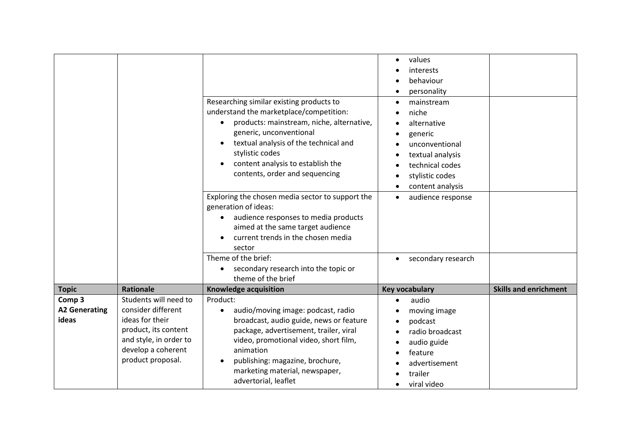|                                                    |                                                                                                                                                             | Researching similar existing products to<br>understand the marketplace/competition:<br>products: mainstream, niche, alternative,<br>$\bullet$<br>generic, unconventional<br>textual analysis of the technical and<br>stylistic codes<br>content analysis to establish the<br>contents, order and sequencing<br>Exploring the chosen media sector to support the<br>generation of ideas:<br>audience responses to media products<br>aimed at the same target audience<br>current trends in the chosen media | values<br>interests<br>behaviour<br>personality<br>mainstream<br>niche<br>alternative<br>generic<br>unconventional<br>textual analysis<br>technical codes<br>stylistic codes<br>content analysis<br>audience response<br>$\bullet$ |                              |
|----------------------------------------------------|-------------------------------------------------------------------------------------------------------------------------------------------------------------|------------------------------------------------------------------------------------------------------------------------------------------------------------------------------------------------------------------------------------------------------------------------------------------------------------------------------------------------------------------------------------------------------------------------------------------------------------------------------------------------------------|------------------------------------------------------------------------------------------------------------------------------------------------------------------------------------------------------------------------------------|------------------------------|
|                                                    |                                                                                                                                                             | sector<br>Theme of the brief:<br>secondary research into the topic or<br>theme of the brief                                                                                                                                                                                                                                                                                                                                                                                                                | secondary research                                                                                                                                                                                                                 |                              |
| <b>Topic</b>                                       | <b>Rationale</b>                                                                                                                                            | Knowledge acquisition                                                                                                                                                                                                                                                                                                                                                                                                                                                                                      | <b>Key vocabulary</b>                                                                                                                                                                                                              | <b>Skills and enrichment</b> |
| Comp <sub>3</sub><br><b>A2 Generating</b><br>ideas | Students will need to<br>consider different<br>ideas for their<br>product, its content<br>and style, in order to<br>develop a coherent<br>product proposal. | Product:<br>audio/moving image: podcast, radio<br>$\bullet$<br>broadcast, audio guide, news or feature<br>package, advertisement, trailer, viral<br>video, promotional video, short film,<br>animation<br>publishing: magazine, brochure,<br>marketing material, newspaper,<br>advertorial, leaflet                                                                                                                                                                                                        | audio<br>moving image<br>podcast<br>radio broadcast<br>audio guide<br>feature<br>advertisement<br>trailer<br>viral video                                                                                                           |                              |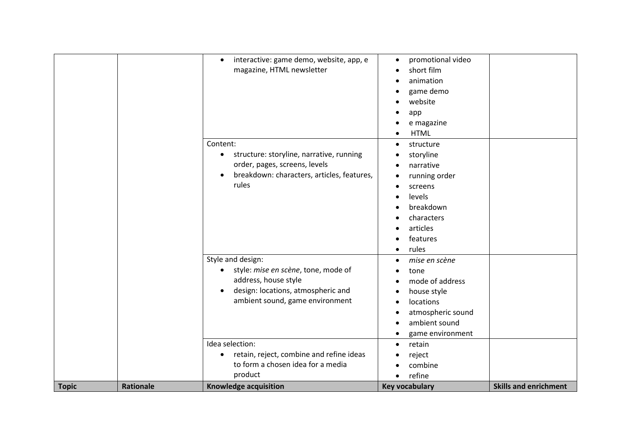| <b>Topic</b> | <b>Rationale</b> | Idea selection:<br>retain, reject, combine and refine ideas<br>$\bullet$<br>to form a chosen idea for a media<br>product<br><b>Knowledge acquisition</b>               | retain<br>$\bullet$<br>reject<br>combine<br>refine<br>$\bullet$<br><b>Key vocabulary</b>                                                                                   | <b>Skills and enrichment</b> |
|--------------|------------------|------------------------------------------------------------------------------------------------------------------------------------------------------------------------|----------------------------------------------------------------------------------------------------------------------------------------------------------------------------|------------------------------|
|              |                  | Style and design:<br>style: mise en scène, tone, mode of<br>address, house style<br>design: locations, atmospheric and<br>$\bullet$<br>ambient sound, game environment | mise en scène<br>$\bullet$<br>tone<br>mode of address<br>$\bullet$<br>house style<br>$\bullet$<br>locations<br>atmospheric sound<br>ambient sound<br>game environment<br>٠ |                              |
|              |                  | structure: storyline, narrative, running<br>$\bullet$<br>order, pages, screens, levels<br>breakdown: characters, articles, features,<br>rules                          | storyline<br>٠<br>narrative<br>running order<br>screens<br>$\bullet$<br>levels<br>$\bullet$<br>breakdown<br>characters<br>articles<br>features<br>rules<br>$\bullet$       |                              |
|              |                  | interactive: game demo, website, app, e<br>$\bullet$<br>magazine, HTML newsletter<br>Content:                                                                          | promotional video<br>$\bullet$<br>short film<br>$\bullet$<br>animation<br>game demo<br>website<br>app<br>e magazine<br><b>HTML</b><br>$\bullet$<br>structure<br>$\bullet$  |                              |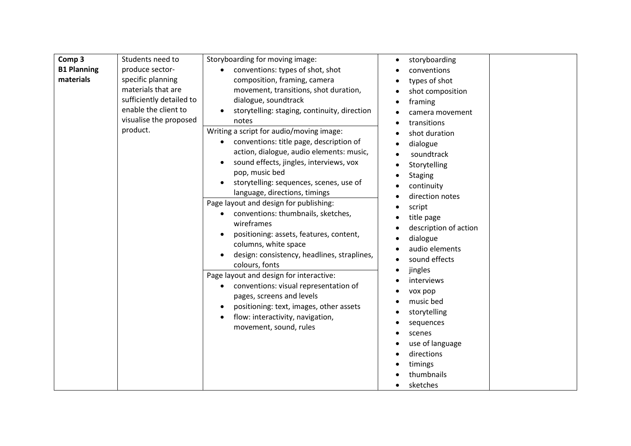| Comp <sub>3</sub><br>Students need to<br><b>B1 Planning</b><br>produce sector-<br>materials<br>specific planning<br>materials that are<br>sufficiently detailed to<br>enable the client to<br>visualise the proposed<br>product. | Storyboarding for moving image:<br>conventions: types of shot, shot<br>composition, framing, camera<br>movement, transitions, shot duration,<br>dialogue, soundtrack<br>storytelling: staging, continuity, direction<br>notes<br>Writing a script for audio/moving image:<br>conventions: title page, description of<br>action, dialogue, audio elements: music,<br>sound effects, jingles, interviews, vox<br>pop, music bed<br>storytelling: sequences, scenes, use of | storyboarding<br>$\bullet$<br>conventions<br>types of shot<br>shot composition<br>framing<br>camera movement<br>transitions<br>$\bullet$<br>shot duration<br>$\bullet$<br>dialogue<br>soundtrack<br>Storytelling<br><b>Staging</b>                                                                                                                                                                                                                                                 |                                                                                                                                                                                                                                                                                                   |
|----------------------------------------------------------------------------------------------------------------------------------------------------------------------------------------------------------------------------------|--------------------------------------------------------------------------------------------------------------------------------------------------------------------------------------------------------------------------------------------------------------------------------------------------------------------------------------------------------------------------------------------------------------------------------------------------------------------------|------------------------------------------------------------------------------------------------------------------------------------------------------------------------------------------------------------------------------------------------------------------------------------------------------------------------------------------------------------------------------------------------------------------------------------------------------------------------------------|---------------------------------------------------------------------------------------------------------------------------------------------------------------------------------------------------------------------------------------------------------------------------------------------------|
|                                                                                                                                                                                                                                  |                                                                                                                                                                                                                                                                                                                                                                                                                                                                          | Page layout and design for publishing:<br>conventions: thumbnails, sketches,<br>$\bullet$<br>wireframes<br>positioning: assets, features, content,<br>columns, white space<br>design: consistency, headlines, straplines,<br>colours, fonts<br>Page layout and design for interactive:<br>conventions: visual representation of<br>$\bullet$<br>pages, screens and levels<br>positioning: text, images, other assets<br>flow: interactivity, navigation,<br>movement, sound, rules | script<br>title page<br>description of action<br>dialogue<br>audio elements<br>sound effects<br>$\bullet$<br>jingles<br>$\bullet$<br>interviews<br>vox pop<br>music bed<br>storytelling<br>sequences<br>$\bullet$<br>scenes<br>use of language<br>directions<br>timings<br>thumbnails<br>sketches |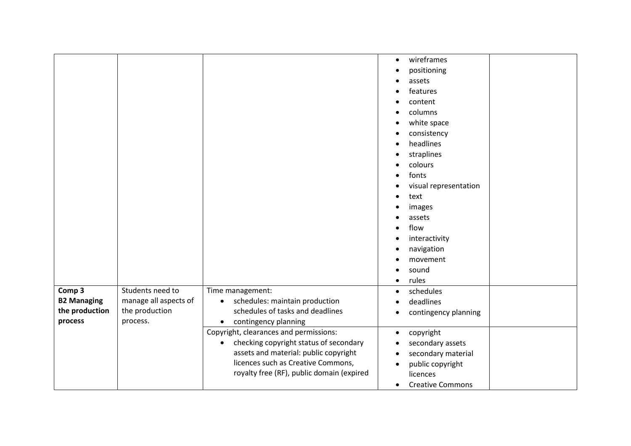|                                      |                                         |                                                                                                                                                                                                                           | wireframes<br>$\bullet$<br>positioning<br>assets<br>features<br>$\bullet$<br>content<br>columns<br>white space<br>consistency<br>headlines<br>straplines<br>colours<br>fonts<br>visual representation<br>text<br>$\bullet$<br>images<br>assets<br>flow<br>interactivity<br>navigation<br>movement<br>sound<br>rules<br>$\bullet$ |
|--------------------------------------|-----------------------------------------|---------------------------------------------------------------------------------------------------------------------------------------------------------------------------------------------------------------------------|----------------------------------------------------------------------------------------------------------------------------------------------------------------------------------------------------------------------------------------------------------------------------------------------------------------------------------|
| Comp 3                               | Students need to                        | Time management:                                                                                                                                                                                                          | schedules<br>$\bullet$                                                                                                                                                                                                                                                                                                           |
| <b>B2 Managing</b><br>the production | manage all aspects of<br>the production | schedules: maintain production<br>$\bullet$<br>schedules of tasks and deadlines                                                                                                                                           | deadlines<br>contingency planning<br>٠                                                                                                                                                                                                                                                                                           |
| process                              | process.                                | contingency planning<br>$\bullet$                                                                                                                                                                                         |                                                                                                                                                                                                                                                                                                                                  |
|                                      |                                         | Copyright, clearances and permissions:<br>checking copyright status of secondary<br>$\bullet$<br>assets and material: public copyright<br>licences such as Creative Commons,<br>royalty free (RF), public domain (expired | copyright<br>$\bullet$<br>secondary assets<br>secondary material<br>public copyright<br>$\bullet$<br>licences<br><b>Creative Commons</b><br>$\bullet$                                                                                                                                                                            |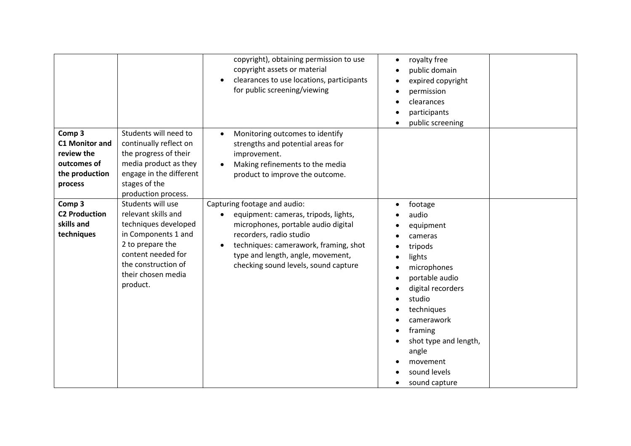|                                                                                           |                                                                                                                                                                                            | copyright), obtaining permission to use<br>copyright assets or material<br>clearances to use locations, participants<br>for public screening/viewing                                                                                                         | royalty free<br>$\bullet$<br>public domain<br>expired copyright<br>permission<br>clearances<br>participants<br>public screening                                                                                                                                               |
|-------------------------------------------------------------------------------------------|--------------------------------------------------------------------------------------------------------------------------------------------------------------------------------------------|--------------------------------------------------------------------------------------------------------------------------------------------------------------------------------------------------------------------------------------------------------------|-------------------------------------------------------------------------------------------------------------------------------------------------------------------------------------------------------------------------------------------------------------------------------|
| Comp 3<br><b>C1 Monitor and</b><br>review the<br>outcomes of<br>the production<br>process | Students will need to<br>continually reflect on<br>the progress of their<br>media product as they<br>engage in the different<br>stages of the<br>production process.                       | Monitoring outcomes to identify<br>strengths and potential areas for<br>improvement.<br>Making refinements to the media<br>product to improve the outcome.                                                                                                   |                                                                                                                                                                                                                                                                               |
| Comp 3<br><b>C2 Production</b><br>skills and<br>techniques                                | Students will use<br>relevant skills and<br>techniques developed<br>in Components 1 and<br>2 to prepare the<br>content needed for<br>the construction of<br>their chosen media<br>product. | Capturing footage and audio:<br>equipment: cameras, tripods, lights,<br>microphones, portable audio digital<br>recorders, radio studio<br>techniques: camerawork, framing, shot<br>type and length, angle, movement,<br>checking sound levels, sound capture | footage<br>$\bullet$<br>audio<br>equipment<br>cameras<br>tripods<br>lights<br>microphones<br>portable audio<br>digital recorders<br>studio<br>techniques<br>camerawork<br>framing<br>shot type and length,<br>angle<br>movement<br>sound levels<br>sound capture<br>$\bullet$ |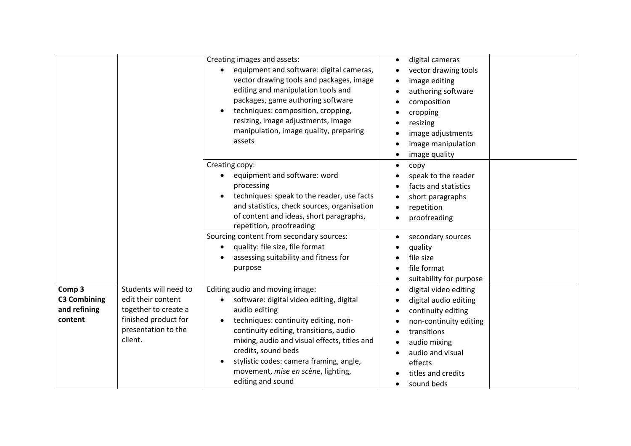|                                                          |                                                                                                                               | Creating images and assets:<br>equipment and software: digital cameras,<br>vector drawing tools and packages, image<br>editing and manipulation tools and<br>packages, game authoring software<br>techniques: composition, cropping,<br>resizing, image adjustments, image<br>manipulation, image quality, preparing<br>assets                                           | digital cameras<br>$\bullet$<br>vector drawing tools<br>image editing<br>authoring software<br>composition<br>cropping<br>resizing<br>image adjustments<br>image manipulation<br>image quality                |
|----------------------------------------------------------|-------------------------------------------------------------------------------------------------------------------------------|--------------------------------------------------------------------------------------------------------------------------------------------------------------------------------------------------------------------------------------------------------------------------------------------------------------------------------------------------------------------------|---------------------------------------------------------------------------------------------------------------------------------------------------------------------------------------------------------------|
|                                                          |                                                                                                                               | Creating copy:<br>equipment and software: word<br>processing<br>techniques: speak to the reader, use facts<br>and statistics, check sources, organisation<br>of content and ideas, short paragraphs,<br>repetition, proofreading                                                                                                                                         | copy<br>speak to the reader<br>facts and statistics<br>short paragraphs<br>repetition<br>proofreading                                                                                                         |
|                                                          |                                                                                                                               | Sourcing content from secondary sources:<br>quality: file size, file format<br>assessing suitability and fitness for<br>purpose                                                                                                                                                                                                                                          | secondary sources<br>quality<br>file size<br>file format<br>suitability for purpose                                                                                                                           |
| Comp 3<br><b>C3 Combining</b><br>and refining<br>content | Students will need to<br>edit their content<br>together to create a<br>finished product for<br>presentation to the<br>client. | Editing audio and moving image:<br>software: digital video editing, digital<br>audio editing<br>techniques: continuity editing, non-<br>$\bullet$<br>continuity editing, transitions, audio<br>mixing, audio and visual effects, titles and<br>credits, sound beds<br>stylistic codes: camera framing, angle,<br>movement, mise en scène, lighting,<br>editing and sound | digital video editing<br>digital audio editing<br>continuity editing<br>non-continuity editing<br>transitions<br>audio mixing<br>audio and visual<br>effects<br>titles and credits<br>sound beds<br>$\bullet$ |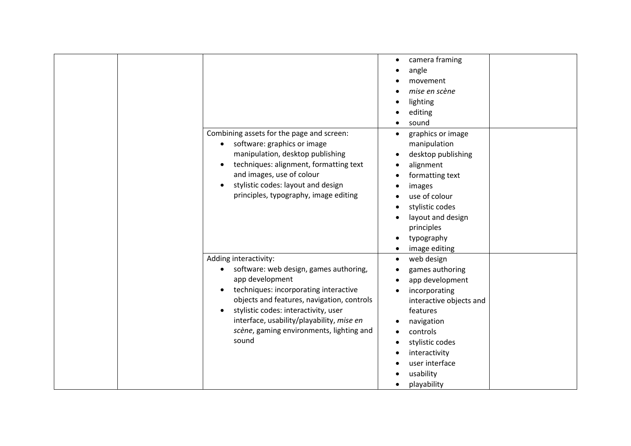| Combining assets for the page and screen:<br>software: graphics or image<br>manipulation, desktop publishing<br>techniques: alignment, formatting text<br>and images, use of colour<br>stylistic codes: layout and design<br>$\bullet$<br>principles, typography, image editing                                     | camera framing<br>angle<br>movement<br>mise en scène<br>lighting<br>editing<br>sound<br>graphics or image<br>$\bullet$<br>manipulation<br>desktop publishing<br>$\bullet$<br>alignment<br>formatting text<br>images<br>use of colour<br>stylistic codes<br>layout and design<br>principles<br>typography<br>image editing<br>$\bullet$ |
|---------------------------------------------------------------------------------------------------------------------------------------------------------------------------------------------------------------------------------------------------------------------------------------------------------------------|----------------------------------------------------------------------------------------------------------------------------------------------------------------------------------------------------------------------------------------------------------------------------------------------------------------------------------------|
| Adding interactivity:<br>software: web design, games authoring,<br>app development<br>techniques: incorporating interactive<br>objects and features, navigation, controls<br>stylistic codes: interactivity, user<br>interface, usability/playability, mise en<br>scène, gaming environments, lighting and<br>sound | web design<br>games authoring<br>app development<br>incorporating<br>interactive objects and<br>features<br>navigation<br>controls<br>stylistic codes<br>interactivity<br>user interface<br>usability<br>playability                                                                                                                   |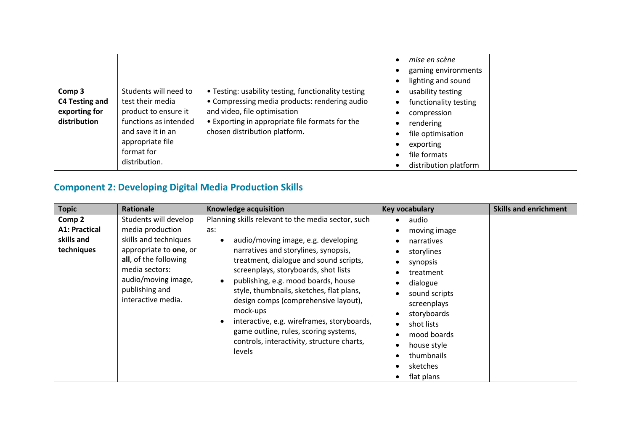|                                                           |                                                                                                                                                                    |                                                                                                                                                                                                                          | mise en scène<br>gaming environments<br>lighting and sound                                                                                        |
|-----------------------------------------------------------|--------------------------------------------------------------------------------------------------------------------------------------------------------------------|--------------------------------------------------------------------------------------------------------------------------------------------------------------------------------------------------------------------------|---------------------------------------------------------------------------------------------------------------------------------------------------|
| Comp 3<br>C4 Testing and<br>exporting for<br>distribution | Students will need to<br>test their media<br>product to ensure it<br>functions as intended<br>and save it in an<br>appropriate file<br>format for<br>distribution. | • Testing: usability testing, functionality testing<br>• Compressing media products: rendering audio<br>and video, file optimisation<br>• Exporting in appropriate file formats for the<br>chosen distribution platform. | usability testing<br>functionality testing<br>compression<br>rendering<br>file optimisation<br>exporting<br>file formats<br>distribution platform |

## **Component 2: Developing Digital Media Production Skills**

| <b>Topic</b>                                               | Rationale                                                                                                                                                                                              | Knowledge acquisition                                                                                                                                                                                                                                                                                                                                                                                                                                                                                            | <b>Key vocabulary</b>                                                                                                                                                                                                     | <b>Skills and enrichment</b> |
|------------------------------------------------------------|--------------------------------------------------------------------------------------------------------------------------------------------------------------------------------------------------------|------------------------------------------------------------------------------------------------------------------------------------------------------------------------------------------------------------------------------------------------------------------------------------------------------------------------------------------------------------------------------------------------------------------------------------------------------------------------------------------------------------------|---------------------------------------------------------------------------------------------------------------------------------------------------------------------------------------------------------------------------|------------------------------|
| Comp 2<br><b>A1: Practical</b><br>skills and<br>techniques | Students will develop<br>media production<br>skills and techniques<br>appropriate to one, or<br>all, of the following<br>media sectors:<br>audio/moving image,<br>publishing and<br>interactive media. | Planning skills relevant to the media sector, such<br>as:<br>audio/moving image, e.g. developing<br>narratives and storylines, synopsis,<br>treatment, dialogue and sound scripts,<br>screenplays, storyboards, shot lists<br>publishing, e.g. mood boards, house<br>style, thumbnails, sketches, flat plans,<br>design comps (comprehensive layout),<br>mock-ups<br>interactive, e.g. wireframes, storyboards,<br>game outline, rules, scoring systems,<br>controls, interactivity, structure charts,<br>levels | audio<br>moving image<br>narratives<br>storylines<br>synopsis<br>treatment<br>dialogue<br>sound scripts<br>screenplays<br>storyboards<br>shot lists<br>mood boards<br>house style<br>thumbnails<br>sketches<br>flat plans |                              |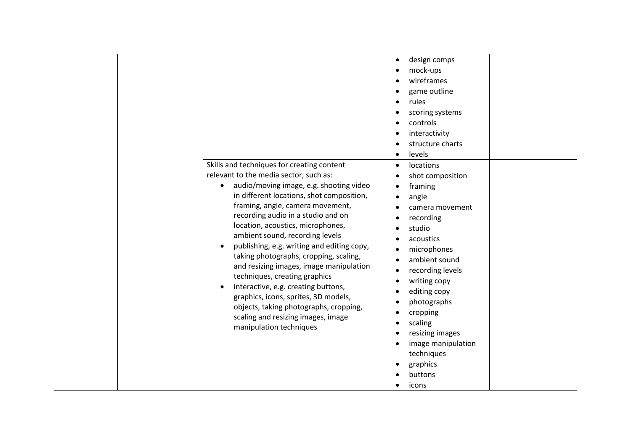| design comps<br>$\bullet$<br>mock-ups<br>wireframes<br>game outline<br>rules<br>scoring systems<br>controls<br>interactivity<br>structure charts<br>levels<br>$\bullet$<br>Skills and techniques for creating content<br>locations<br>$\bullet$<br>relevant to the media sector, such as:<br>shot composition<br>audio/moving image, e.g. shooting video<br>$\bullet$<br>framing<br>in different locations, shot composition,<br>angle<br>framing, angle, camera movement,<br>camera movement<br>recording audio in a studio and on<br>recording<br>location, acoustics, microphones,<br>studio<br>ambient sound, recording levels<br>acoustics<br>publishing, e.g. writing and editing copy,<br>microphones<br>taking photographs, cropping, scaling,<br>ambient sound<br>and resizing images, image manipulation<br>recording levels<br>techniques, creating graphics<br>writing copy<br>interactive, e.g. creating buttons,<br>editing copy<br>graphics, icons, sprites, 3D models,<br>photographs<br>objects, taking photographs, cropping,<br>cropping<br>scaling and resizing images, image<br>scaling<br>$\bullet$<br>manipulation techniques<br>resizing images<br>$\bullet$<br>image manipulation<br>techniques |  |          |  |
|--------------------------------------------------------------------------------------------------------------------------------------------------------------------------------------------------------------------------------------------------------------------------------------------------------------------------------------------------------------------------------------------------------------------------------------------------------------------------------------------------------------------------------------------------------------------------------------------------------------------------------------------------------------------------------------------------------------------------------------------------------------------------------------------------------------------------------------------------------------------------------------------------------------------------------------------------------------------------------------------------------------------------------------------------------------------------------------------------------------------------------------------------------------------------------------------------------------------------|--|----------|--|
|                                                                                                                                                                                                                                                                                                                                                                                                                                                                                                                                                                                                                                                                                                                                                                                                                                                                                                                                                                                                                                                                                                                                                                                                                          |  |          |  |
| buttons<br>icons                                                                                                                                                                                                                                                                                                                                                                                                                                                                                                                                                                                                                                                                                                                                                                                                                                                                                                                                                                                                                                                                                                                                                                                                         |  | graphics |  |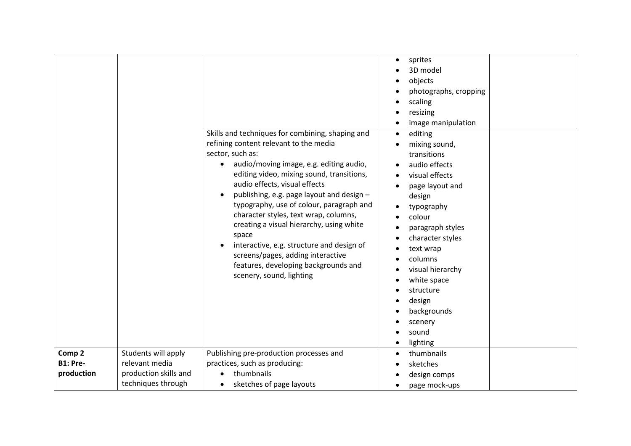|                 |                       | Skills and techniques for combining, shaping and<br>refining content relevant to the media<br>sector, such as:<br>audio/moving image, e.g. editing audio,<br>editing video, mixing sound, transitions,<br>audio effects, visual effects<br>publishing, e.g. page layout and design -<br>typography, use of colour, paragraph and<br>character styles, text wrap, columns,<br>creating a visual hierarchy, using white<br>space<br>interactive, e.g. structure and design of<br>screens/pages, adding interactive<br>features, developing backgrounds and<br>scenery, sound, lighting | sprites<br>$\bullet$<br>3D model<br>objects<br>photographs, cropping<br>scaling<br>resizing<br>image manipulation<br>editing<br>$\bullet$<br>mixing sound,<br>transitions<br>audio effects<br>visual effects<br>page layout and<br>design<br>typography<br>colour<br>paragraph styles<br>character styles<br>text wrap<br>columns<br>visual hierarchy<br>white space<br>structure<br>design<br>backgrounds<br>scenery<br>sound<br>lighting |  |
|-----------------|-----------------------|--------------------------------------------------------------------------------------------------------------------------------------------------------------------------------------------------------------------------------------------------------------------------------------------------------------------------------------------------------------------------------------------------------------------------------------------------------------------------------------------------------------------------------------------------------------------------------------|--------------------------------------------------------------------------------------------------------------------------------------------------------------------------------------------------------------------------------------------------------------------------------------------------------------------------------------------------------------------------------------------------------------------------------------------|--|
| Comp 2          | Students will apply   | Publishing pre-production processes and                                                                                                                                                                                                                                                                                                                                                                                                                                                                                                                                              | thumbnails<br>$\bullet$                                                                                                                                                                                                                                                                                                                                                                                                                    |  |
| <b>B1: Pre-</b> | relevant media        | practices, such as producing:                                                                                                                                                                                                                                                                                                                                                                                                                                                                                                                                                        | sketches                                                                                                                                                                                                                                                                                                                                                                                                                                   |  |
| production      | production skills and | thumbnails                                                                                                                                                                                                                                                                                                                                                                                                                                                                                                                                                                           |                                                                                                                                                                                                                                                                                                                                                                                                                                            |  |
|                 |                       |                                                                                                                                                                                                                                                                                                                                                                                                                                                                                                                                                                                      | design comps                                                                                                                                                                                                                                                                                                                                                                                                                               |  |
|                 | techniques through    | sketches of page layouts                                                                                                                                                                                                                                                                                                                                                                                                                                                                                                                                                             | page mock-ups                                                                                                                                                                                                                                                                                                                                                                                                                              |  |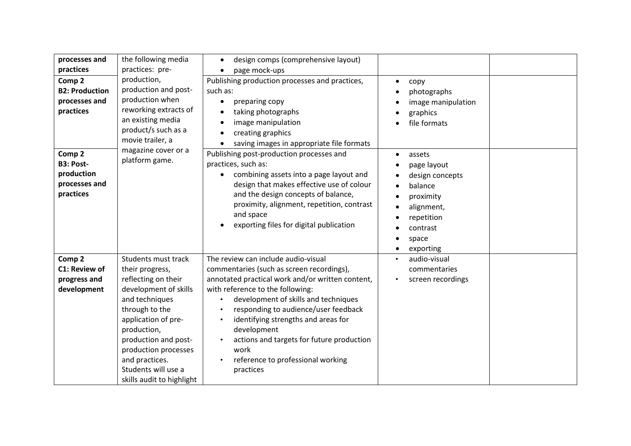| processes and<br>practices<br>Comp <sub>2</sub><br><b>B2: Production</b><br>processes and<br>practices | the following media<br>practices: pre-<br>production,<br>production and post-<br>production when<br>reworking extracts of<br>an existing media<br>product/s such as a<br>movie trailer, a                                                                                              | design comps (comprehensive layout)<br>$\bullet$<br>page mock-ups<br>Publishing production processes and practices,<br>such as:<br>preparing copy<br>$\bullet$<br>taking photographs<br>image manipulation<br>creating graphics<br>saving images in appropriate file formats                                                                                                                                                       | copy<br>$\bullet$<br>photographs<br>image manipulation<br>graphics<br>file formats                                                          |  |
|--------------------------------------------------------------------------------------------------------|----------------------------------------------------------------------------------------------------------------------------------------------------------------------------------------------------------------------------------------------------------------------------------------|------------------------------------------------------------------------------------------------------------------------------------------------------------------------------------------------------------------------------------------------------------------------------------------------------------------------------------------------------------------------------------------------------------------------------------|---------------------------------------------------------------------------------------------------------------------------------------------|--|
| Comp 2<br><b>B3: Post-</b><br>production<br>processes and<br>practices                                 | magazine cover or a<br>platform game.                                                                                                                                                                                                                                                  | Publishing post-production processes and<br>practices, such as:<br>combining assets into a page layout and<br>$\bullet$<br>design that makes effective use of colour<br>and the design concepts of balance,<br>proximity, alignment, repetition, contrast<br>and space<br>exporting files for digital publication                                                                                                                  | assets<br>$\bullet$<br>page layout<br>design concepts<br>balance<br>proximity<br>alignment,<br>repetition<br>contrast<br>space<br>exporting |  |
| Comp <sub>2</sub><br>C1: Review of<br>progress and<br>development                                      | Students must track<br>their progress,<br>reflecting on their<br>development of skills<br>and techniques<br>through to the<br>application of pre-<br>production,<br>production and post-<br>production processes<br>and practices.<br>Students will use a<br>skills audit to highlight | The review can include audio-visual<br>commentaries (such as screen recordings),<br>annotated practical work and/or written content,<br>with reference to the following:<br>development of skills and techniques<br>$\bullet$<br>responding to audience/user feedback<br>identifying strengths and areas for<br>development<br>actions and targets for future production<br>work<br>reference to professional working<br>practices | audio-visual<br>commentaries<br>screen recordings                                                                                           |  |